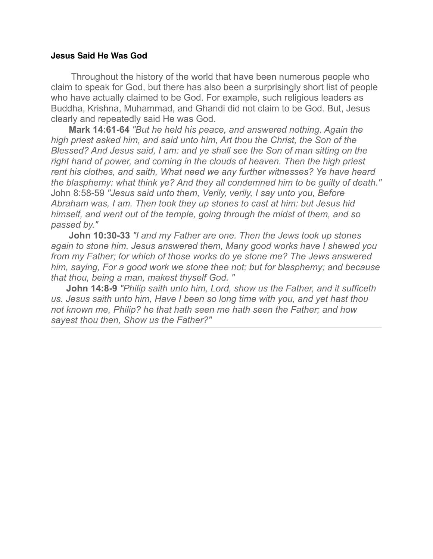## **Jesus Said He Was God**

 Throughout the history of the world that have been numerous people who claim to speak for God, but there has also been a surprisingly short list of people who have actually claimed to be God. For example, such religious leaders as Buddha, Krishna, Muhammad, and Ghandi did not claim to be God. But, Jesus clearly and repeatedly said He was God.

**Mark 14:61-64** *"But he held his peace, and answered nothing. Again the high priest asked him, and said unto him, Art thou the Christ, the Son of the Blessed? And Jesus said, I am: and ye shall see the Son of man sitting on the right hand of power, and coming in the clouds of heaven. Then the high priest rent his clothes, and saith, What need we any further witnesses? Ye have heard the blasphemy: what think ye? And they all condemned him to be guilty of death."* John 8:58-59 *"Jesus said unto them, Verily, verily, I say unto you, Before Abraham was, I am. Then took they up stones to cast at him: but Jesus hid himself, and went out of the temple, going through the midst of them, and so passed by."*

 **John 10:30-33** *"I and my Father are one. Then the Jews took up stones again to stone him. Jesus answered them, Many good works have I shewed you from my Father; for which of those works do ye stone me? The Jews answered him, saying, For a good work we stone thee not; but for blasphemy; and because that thou, being a man, makest thyself God. "*

 **John 14:8-9** *"Philip saith unto him, Lord, show us the Father, and it sufficeth us. Jesus saith unto him, Have I been so long time with you, and yet hast thou not known me, Philip? he that hath seen me hath seen the Father; and how sayest thou then, Show us the Father?"*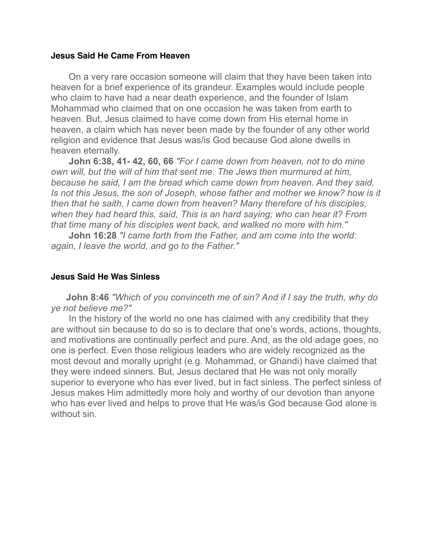# **Jesus Said He Came From Heaven**

 On a very rare occasion someone will claim that they have been taken into heaven for a brief experience of its grandeur. Examples would include people who claim to have had a near death experience, and the founder of Islam Mohammad who claimed that on one occasion he was taken from earth to heaven. But, Jesus claimed to have come down from His eternal home in heaven, a claim which has never been made by the founder of any other world religion and evidence that Jesus was/is God because God alone dwells in heaven eternally.

**John 6:38, 41- 42, 60, 66** *"For I came down from heaven, not to do mine own will, but the will of him that sent me. The Jews then murmured at him, because he said, I am the bread which came down from heaven. And they said, Is not this Jesus, the son of Joseph, whose father and mother we know? how is it then that he saith, I came down from heaven? Many therefore of his disciples, when they had heard this, said, This is an hard saying; who can hear it? From that time many of his disciples went back, and walked no more with him."*

 **John 16:28** *"I came forth from the Father, and am come into the world: again, I leave the world, and go to the Father."*

# **Jesus Said He Was Sinless**

 **John 8:46** *"Which of you convinceth me of sin? And if I say the truth, why do ye not believe me?"*

 In the history of the world no one has claimed with any credibility that they are without sin because to do so is to declare that one's words, actions, thoughts, and motivations are continually perfect and pure. And, as the old adage goes, no one is perfect. Even those religious leaders who are widely recognized as the most devout and morally upright (e.g. Mohammad, or Ghandi) have claimed that they were indeed sinners. But, Jesus declared that He was not only morally superior to everyone who has ever lived, but in fact sinless. The perfect sinless of Jesus makes Him admittedly more holy and worthy of our devotion than anyone who has ever lived and helps to prove that He was/is God because God alone is without sin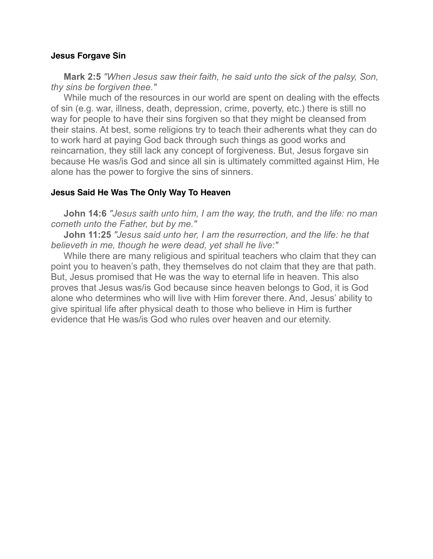#### **Jesus Forgave Sin**

 **Mark 2:5** *"When Jesus saw their faith, he said unto the sick of the palsy, Son, thy sins be forgiven thee."*

 While much of the resources in our world are spent on dealing with the effects of sin (e.g. war, illness, death, depression, crime, poverty, etc.) there is still no way for people to have their sins forgiven so that they might be cleansed from their stains. At best, some religions try to teach their adherents what they can do to work hard at paying God back through such things as good works and reincarnation, they still lack any concept of forgiveness. But, Jesus forgave sin because He was/is God and since all sin is ultimately committed against Him, He alone has the power to forgive the sins of sinners.

## **Jesus Said He Was The Only Way To Heaven**

 **John 14:6** *"Jesus saith unto him, I am the way, the truth, and the life: no man cometh unto the Father, but by me."*

 **John 11:25** *"Jesus said unto her, I am the resurrection, and the life: he that believeth in me, though he were dead, yet shall he live:"*

 While there are many religious and spiritual teachers who claim that they can point you to heaven's path, they themselves do not claim that they are that path. But, Jesus promised that He was the way to eternal life in heaven. This also proves that Jesus was/is God because since heaven belongs to God, it is God alone who determines who will live with Him forever there. And, Jesus' ability to give spiritual life after physical death to those who believe in Him is further evidence that He was/is God who rules over heaven and our eternity.